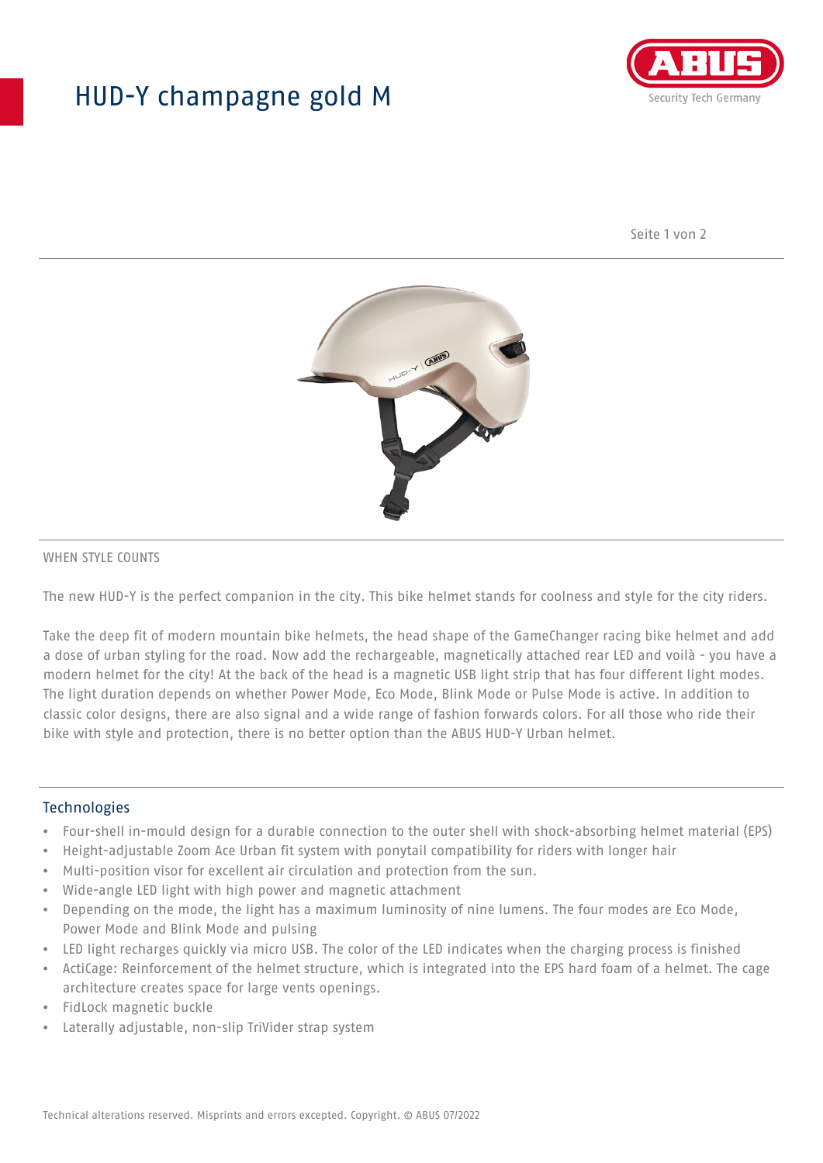## HUD-Y champagne gold M



Seite 1 von 2



#### WHEN STYLE COUNTS

The new HUD-Y is the perfect companion in the city. This bike helmet stands for coolness and style for the city riders.

Take the deep fit of modern mountain bike helmets, the head shape of the GameChanger racing bike helmet and add a dose of urban styling for the road. Now add the rechargeable, magnetically attached rear LED and voilà - you have a modern helmet for the city! At the back of the head is a magnetic USB light strip that has four different light modes. The light duration depends on whether Power Mode, Eco Mode, Blink Mode or Pulse Mode is active. In addition to classic color designs, there are also signal and a wide range of fashion forwards colors. For all those who ride their bike with style and protection, there is no better option than the ABUS HUD-Y Urban helmet.

#### **Technologies**

- Four-shell in-mould design for a durable connection to the outer shell with shock-absorbing helmet material (EPS)
- Height-adjustable Zoom Ace Urban fit system with ponytail compatibility for riders with longer hair
- Multi-position visor for excellent air circulation and protection from the sun.
- Wide-angle LED light with high power and magnetic attachment
- Depending on the mode, the light has a maximum luminosity of nine lumens. The four modes are Eco Mode, Power Mode and Blink Mode and pulsing
- LED light recharges quickly via micro USB. The color of the LED indicates when the charging process is finished
- ActiCage: Reinforcement of the helmet structure, which is integrated into the EPS hard foam of a helmet. The cage architecture creates space for large vents openings.
- FidLock magnetic buckle
- Laterally adjustable, non-slip TriVider strap system